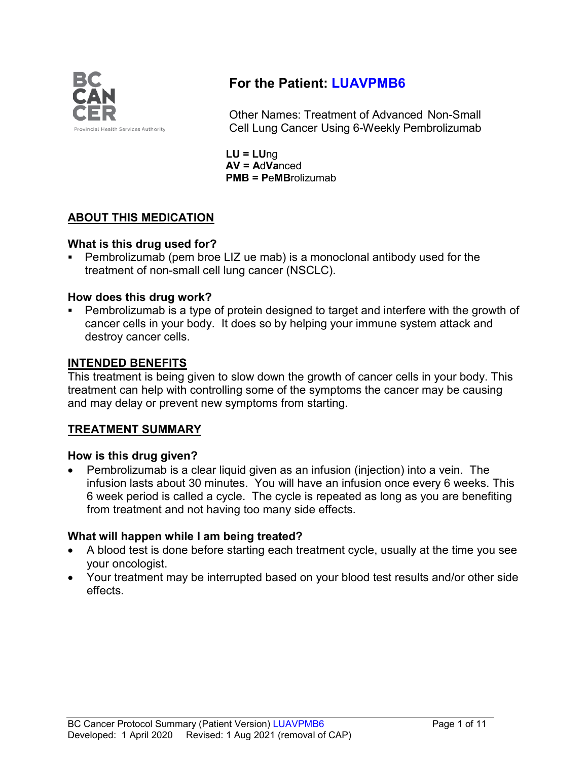

# **For the Patient: LUAVPMB6**

Other Names: Treatment of Advanced Non-Small Cell Lung Cancer Using 6-Weekly Pembrolizumab

**LU = LU**ng **AV = A**d**Va**nced **PMB = P**e**MB**rolizumab

# **ABOUT THIS MEDICATION**

## **What is this drug used for?**

 Pembrolizumab (pem broe LIZ ue mab) is a monoclonal antibody used for the treatment of non-small cell lung cancer (NSCLC).

## **How does this drug work?**

 Pembrolizumab is a type of protein designed to target and interfere with the growth of cancer cells in your body. It does so by helping your immune system attack and destroy cancer cells.

## **INTENDED BENEFITS**

This treatment is being given to slow down the growth of cancer cells in your body. This treatment can help with controlling some of the symptoms the cancer may be causing and may delay or prevent new symptoms from starting.

## **TREATMENT SUMMARY**

## **How is this drug given?**

• Pembrolizumab is a clear liquid given as an infusion (injection) into a vein. The infusion lasts about 30 minutes. You will have an infusion once every 6 weeks. This 6 week period is called a cycle. The cycle is repeated as long as you are benefiting from treatment and not having too many side effects.

# **What will happen while I am being treated?**

- A blood test is done before starting each treatment cycle, usually at the time you see your oncologist.
- Your treatment may be interrupted based on your blood test results and/or other side effects.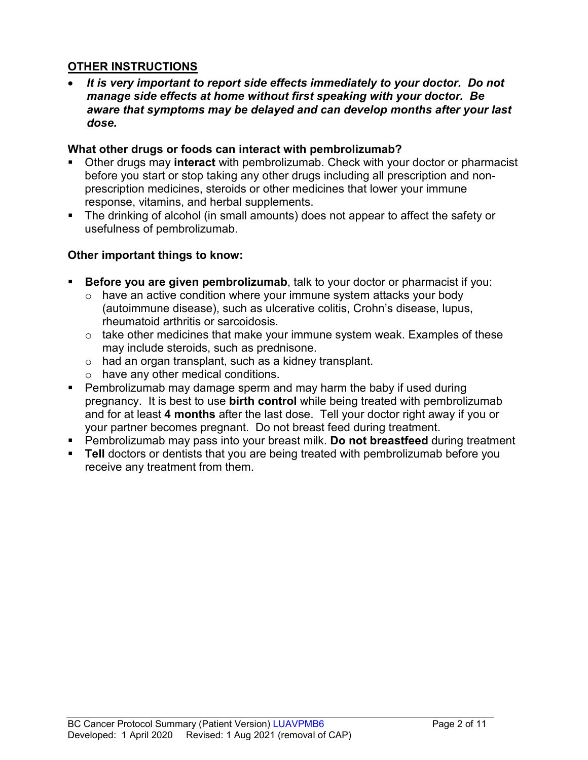## **OTHER INSTRUCTIONS**

• *It is very important to report side effects immediately to your doctor. Do not manage side effects at home without first speaking with your doctor. Be aware that symptoms may be delayed and can develop months after your last dose.*

#### **What other drugs or foods can interact with pembrolizumab?**

- Other drugs may **interact** with pembrolizumab. Check with your doctor or pharmacist before you start or stop taking any other drugs including all prescription and nonprescription medicines, steroids or other medicines that lower your immune response, vitamins, and herbal supplements.
- The drinking of alcohol (in small amounts) does not appear to affect the safety or usefulness of pembrolizumab.

## **Other important things to know:**

- **Before you are given pembrolizumab**, talk to your doctor or pharmacist if you:
	- $\circ$  have an active condition where your immune system attacks your body (autoimmune disease), such as ulcerative colitis, Crohn's disease, lupus, rheumatoid arthritis or sarcoidosis.
	- $\circ$  take other medicines that make your immune system weak. Examples of these may include steroids, such as prednisone.
	- o had an organ transplant, such as a kidney transplant.
	- o have any other medical conditions.
- Pembrolizumab may damage sperm and may harm the baby if used during pregnancy. It is best to use **birth control** while being treated with pembrolizumab and for at least **4 months** after the last dose. Tell your doctor right away if you or your partner becomes pregnant. Do not breast feed during treatment.
- Pembrolizumab may pass into your breast milk. **Do not breastfeed** during treatment
- **Tell** doctors or dentists that you are being treated with pembrolizumab before you receive any treatment from them.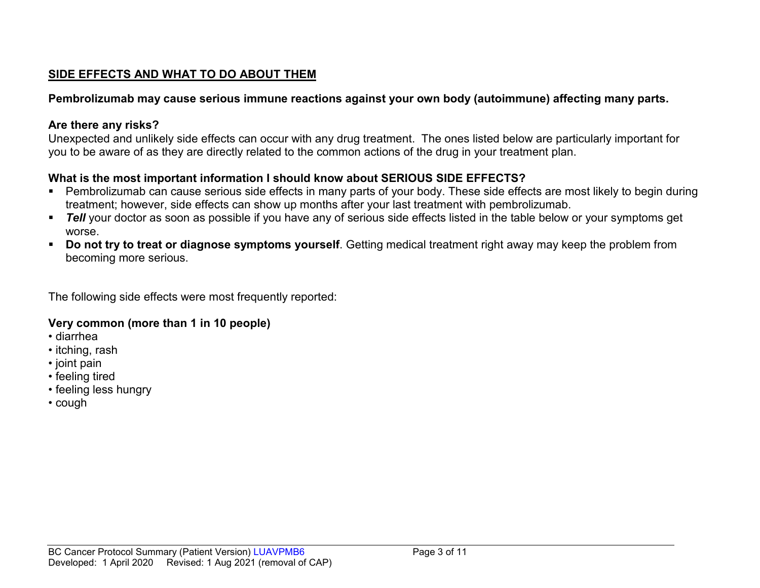# **SIDE EFFECTS AND WHAT TO DO ABOUT THEM**

## **Pembrolizumab may cause serious immune reactions against your own body (autoimmune) affecting many parts.**

## **Are there any risks?**

Unexpected and unlikely side effects can occur with any drug treatment. The ones listed below are particularly important for you to be aware of as they are directly related to the common actions of the drug in your treatment plan.

# **What is the most important information I should know about SERIOUS SIDE EFFECTS?**

- Pembrolizumab can cause serious side effects in many parts of your body. These side effects are most likely to begin during treatment; however, side effects can show up months after your last treatment with pembrolizumab.
- **Tell** your doctor as soon as possible if you have any of serious side effects listed in the table below or your symptoms get worse.
- **Do not try to treat or diagnose symptoms yourself**. Getting medical treatment right away may keep the problem from becoming more serious.

The following side effects were most frequently reported:

## **Very common (more than 1 in 10 people)**

- diarrhea
- itching, rash
- joint pain
- feeling tired
- feeling less hungry
- cough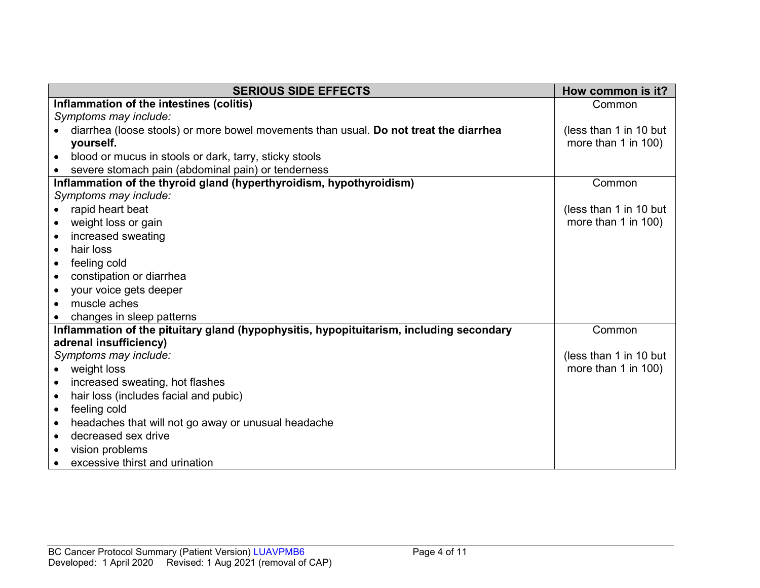| <b>SERIOUS SIDE EFFECTS</b>                                                             | How common is it?      |
|-----------------------------------------------------------------------------------------|------------------------|
| Inflammation of the intestines (colitis)                                                | Common                 |
| Symptoms may include:                                                                   |                        |
| diarrhea (loose stools) or more bowel movements than usual. Do not treat the diarrhea   | (less than 1 in 10 but |
| yourself.                                                                               | more than 1 in 100)    |
| blood or mucus in stools or dark, tarry, sticky stools<br>$\bullet$                     |                        |
| severe stomach pain (abdominal pain) or tenderness                                      |                        |
| Inflammation of the thyroid gland (hyperthyroidism, hypothyroidism)                     | Common                 |
| Symptoms may include:                                                                   |                        |
| rapid heart beat<br>$\bullet$                                                           | (less than 1 in 10 but |
| weight loss or gain<br>$\bullet$                                                        | more than 1 in 100)    |
| increased sweating                                                                      |                        |
| hair loss<br>$\bullet$                                                                  |                        |
| feeling cold<br>$\bullet$                                                               |                        |
| constipation or diarrhea<br>$\bullet$                                                   |                        |
| your voice gets deeper<br>$\bullet$                                                     |                        |
| muscle aches                                                                            |                        |
| changes in sleep patterns                                                               |                        |
| Inflammation of the pituitary gland (hypophysitis, hypopituitarism, including secondary | Common                 |
| adrenal insufficiency)                                                                  |                        |
| Symptoms may include:                                                                   | (less than 1 in 10 but |
| weight loss<br>$\bullet$                                                                | more than 1 in 100)    |
| increased sweating, hot flashes<br>$\bullet$                                            |                        |
| hair loss (includes facial and pubic)<br>$\bullet$                                      |                        |
| feeling cold<br>$\bullet$                                                               |                        |
| headaches that will not go away or unusual headache                                     |                        |
| decreased sex drive<br>$\bullet$                                                        |                        |
| vision problems<br>$\bullet$                                                            |                        |
| excessive thirst and urination                                                          |                        |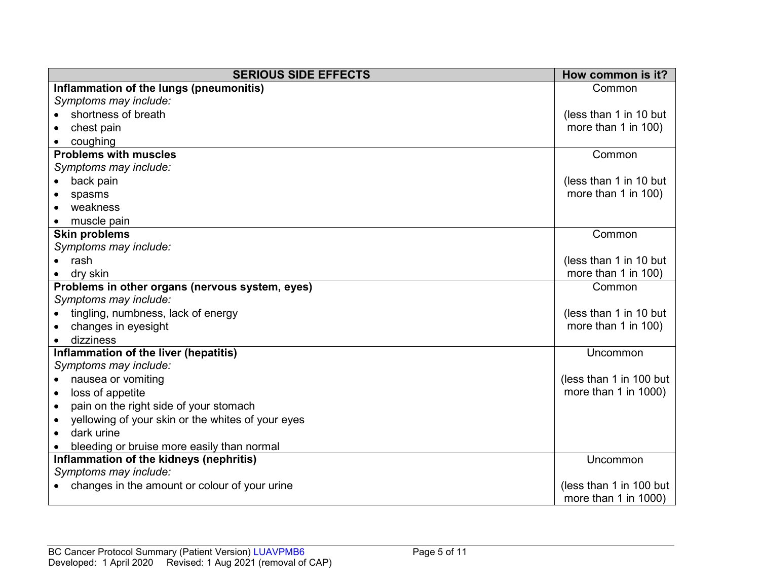| <b>SERIOUS SIDE EFFECTS</b>                                    | How common is it?       |
|----------------------------------------------------------------|-------------------------|
| Inflammation of the lungs (pneumonitis)                        | Common                  |
| Symptoms may include:                                          |                         |
| shortness of breath                                            | (less than 1 in 10 but  |
| chest pain                                                     | more than 1 in 100)     |
| coughing                                                       |                         |
| <b>Problems with muscles</b>                                   | Common                  |
| Symptoms may include:                                          |                         |
| back pain                                                      | (less than 1 in 10 but  |
| spasms                                                         | more than 1 in 100)     |
| weakness                                                       |                         |
| muscle pain                                                    |                         |
| <b>Skin problems</b>                                           | Common                  |
| Symptoms may include:                                          |                         |
| rash                                                           | (less than 1 in 10 but  |
| dry skin                                                       | more than 1 in 100)     |
| Problems in other organs (nervous system, eyes)                | Common                  |
| Symptoms may include:                                          |                         |
| tingling, numbness, lack of energy                             | (less than 1 in 10 but  |
| changes in eyesight                                            | more than 1 in 100)     |
| dizziness                                                      |                         |
| Inflammation of the liver (hepatitis)                          | Uncommon                |
| Symptoms may include:                                          |                         |
| nausea or vomiting<br>$\bullet$                                | (less than 1 in 100 but |
| loss of appetite<br>$\bullet$                                  | more than 1 in 1000)    |
| pain on the right side of your stomach<br>$\bullet$            |                         |
| yellowing of your skin or the whites of your eyes<br>$\bullet$ |                         |
| dark urine<br>$\bullet$                                        |                         |
| bleeding or bruise more easily than normal                     |                         |
| Inflammation of the kidneys (nephritis)                        | Uncommon                |
| Symptoms may include:                                          |                         |
| changes in the amount or colour of your urine                  | (less than 1 in 100 but |
|                                                                | more than 1 in 1000)    |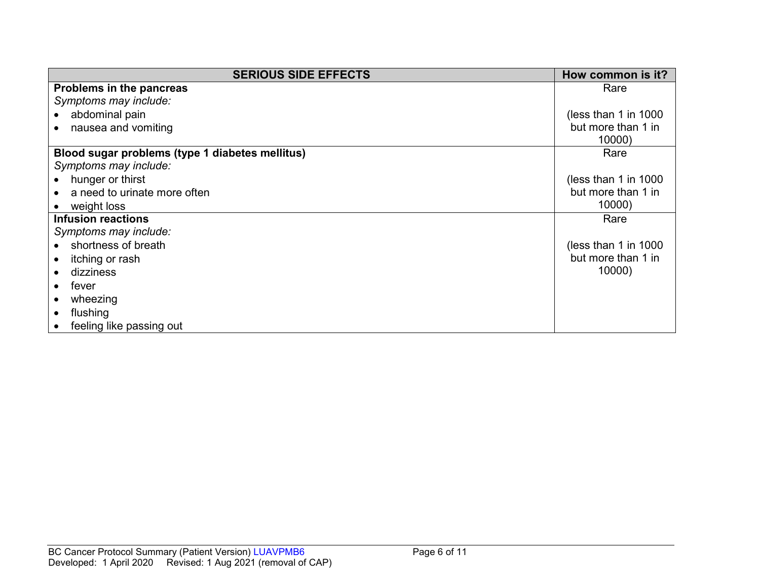| <b>SERIOUS SIDE EFFECTS</b>                     | How common is it?      |
|-------------------------------------------------|------------------------|
| Problems in the pancreas                        | Rare                   |
| Symptoms may include:                           |                        |
| abdominal pain                                  | (less than 1 in $1000$ |
| nausea and vomiting                             | but more than 1 in     |
|                                                 | 10000)                 |
| Blood sugar problems (type 1 diabetes mellitus) | Rare                   |
| Symptoms may include:                           |                        |
| hunger or thirst                                | (less than 1 in $1000$ |
| a need to urinate more often                    | but more than 1 in     |
| weight loss                                     | 10000)                 |
| <b>Infusion reactions</b>                       | Rare                   |
| Symptoms may include:                           |                        |
| shortness of breath                             | (less than 1 in $1000$ |
| itching or rash                                 | but more than 1 in     |
| dizziness                                       | 10000)                 |
| fever                                           |                        |
| wheezing                                        |                        |
| flushing                                        |                        |
| feeling like passing out                        |                        |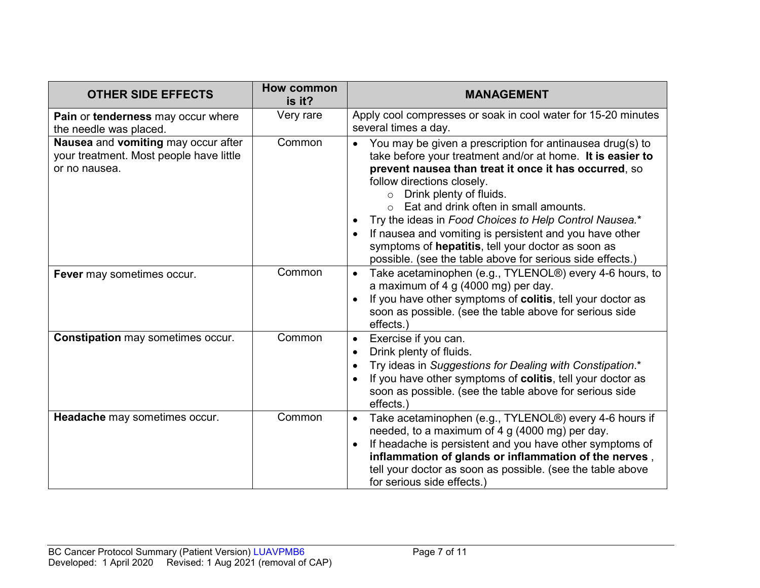| <b>OTHER SIDE EFFECTS</b>                                                                       | How common<br>is it? | <b>MANAGEMENT</b>                                                                                                                                                                                                                                                                                                                                                                                                                                                                                                                                  |
|-------------------------------------------------------------------------------------------------|----------------------|----------------------------------------------------------------------------------------------------------------------------------------------------------------------------------------------------------------------------------------------------------------------------------------------------------------------------------------------------------------------------------------------------------------------------------------------------------------------------------------------------------------------------------------------------|
| Pain or tenderness may occur where<br>the needle was placed.                                    | Very rare            | Apply cool compresses or soak in cool water for 15-20 minutes<br>several times a day.                                                                                                                                                                                                                                                                                                                                                                                                                                                              |
| Nausea and vomiting may occur after<br>your treatment. Most people have little<br>or no nausea. | Common               | You may be given a prescription for antinausea drug(s) to<br>$\bullet$<br>take before your treatment and/or at home. It is easier to<br>prevent nausea than treat it once it has occurred, so<br>follow directions closely.<br>Drink plenty of fluids.<br>$\circ$<br>Eat and drink often in small amounts.<br>Try the ideas in Food Choices to Help Control Nausea.*<br>If nausea and vomiting is persistent and you have other<br>symptoms of hepatitis, tell your doctor as soon as<br>possible. (see the table above for serious side effects.) |
| Fever may sometimes occur.                                                                      | Common               | Take acetaminophen (e.g., TYLENOL®) every 4-6 hours, to<br>$\bullet$<br>a maximum of 4 g (4000 mg) per day.<br>If you have other symptoms of colitis, tell your doctor as<br>soon as possible. (see the table above for serious side<br>effects.)                                                                                                                                                                                                                                                                                                  |
| <b>Constipation may sometimes occur.</b>                                                        | Common               | Exercise if you can.<br>$\bullet$<br>Drink plenty of fluids.<br>Try ideas in Suggestions for Dealing with Constipation.*<br>If you have other symptoms of colitis, tell your doctor as<br>soon as possible. (see the table above for serious side<br>effects.)                                                                                                                                                                                                                                                                                     |
| Headache may sometimes occur.                                                                   | Common               | Take acetaminophen (e.g., TYLENOL®) every 4-6 hours if<br>$\bullet$<br>needed, to a maximum of 4 g (4000 mg) per day.<br>If headache is persistent and you have other symptoms of<br>inflammation of glands or inflammation of the nerves,<br>tell your doctor as soon as possible. (see the table above<br>for serious side effects.)                                                                                                                                                                                                             |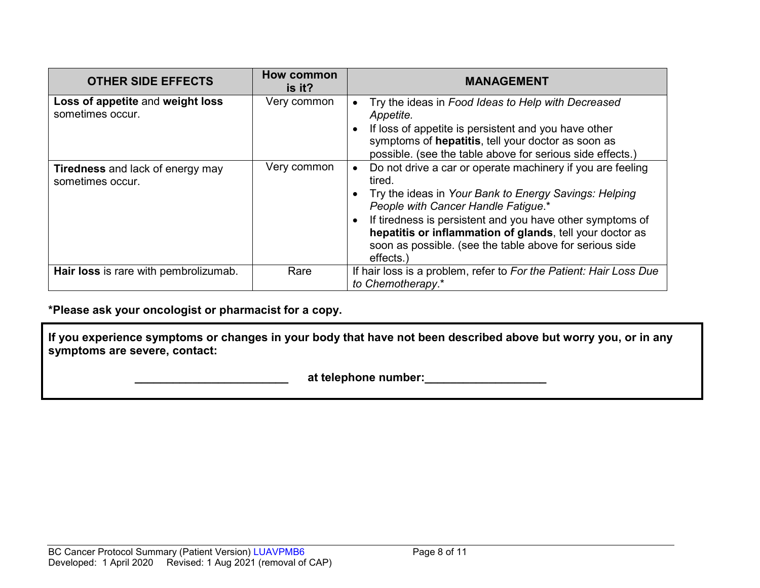| <b>OTHER SIDE EFFECTS</b>                                   | How common<br>is it? | <b>MANAGEMENT</b>                                                                                                                                                                                                                                                                                                                                                    |
|-------------------------------------------------------------|----------------------|----------------------------------------------------------------------------------------------------------------------------------------------------------------------------------------------------------------------------------------------------------------------------------------------------------------------------------------------------------------------|
| Loss of appetite and weight loss<br>sometimes occur.        | Very common          | Try the ideas in Food Ideas to Help with Decreased<br>Appetite.<br>If loss of appetite is persistent and you have other<br>symptoms of hepatitis, tell your doctor as soon as<br>possible. (see the table above for serious side effects.)                                                                                                                           |
| <b>Tiredness</b> and lack of energy may<br>sometimes occur. | Very common          | Do not drive a car or operate machinery if you are feeling<br>tired.<br>Try the ideas in Your Bank to Energy Savings: Helping<br>People with Cancer Handle Fatigue.*<br>If tiredness is persistent and you have other symptoms of<br>hepatitis or inflammation of glands, tell your doctor as<br>soon as possible. (see the table above for serious side<br>effects. |
| Hair loss is rare with pembrolizumab.                       | Rare                 | If hair loss is a problem, refer to For the Patient: Hair Loss Due<br>to Chemotherapy.*                                                                                                                                                                                                                                                                              |

**\*Please ask your oncologist or pharmacist for a copy.**

**If you experience symptoms or changes in your body that have not been described above but worry you, or in any symptoms are severe, contact:**

 **\_\_\_\_\_\_\_\_\_\_\_\_\_\_\_\_\_\_\_\_\_\_\_\_ at telephone number:\_\_\_\_\_\_\_\_\_\_\_\_\_\_\_\_\_\_\_**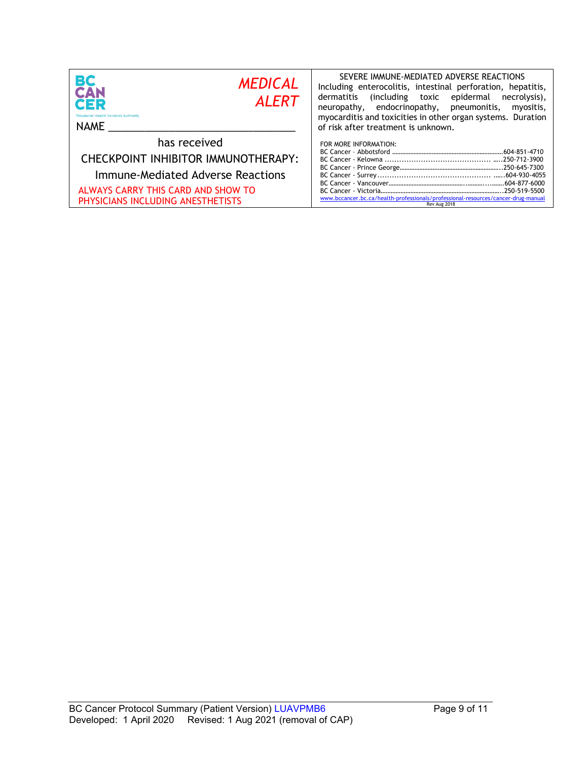| BC<br><b>MEDICAL</b><br><b>CAN</b><br><b>ALERT</b><br>CER<br><b>Provincial Health Services Authority</b><br>NAME                                                    | SEVERE IMMUNE-MEDIATED ADVERSE REACTIONS<br>Including enterocolitis, intestinal perforation, hepatitis,<br>dermatitis (including toxic epidermal<br>necrolysis),<br>neuropathy, endocrinopathy, pneumonitis,<br>myositis,<br>myocarditis and toxicities in other organ systems. Duration<br>of risk after treatment is unknown. |
|---------------------------------------------------------------------------------------------------------------------------------------------------------------------|---------------------------------------------------------------------------------------------------------------------------------------------------------------------------------------------------------------------------------------------------------------------------------------------------------------------------------|
| has received<br>CHECKPOINT INHIBITOR IMMUNOTHERAPY:<br>Immune-Mediated Adverse Reactions<br>ALWAYS CARRY THIS CARD AND SHOW TO<br>PHYSICIANS INCLUDING ANESTHETISTS | FOR MORE INFORMATION:<br>www.bccancer.bc.ca/health-professionals/professional-resources/cancer-drug-manual<br>Rev Aug 2018                                                                                                                                                                                                      |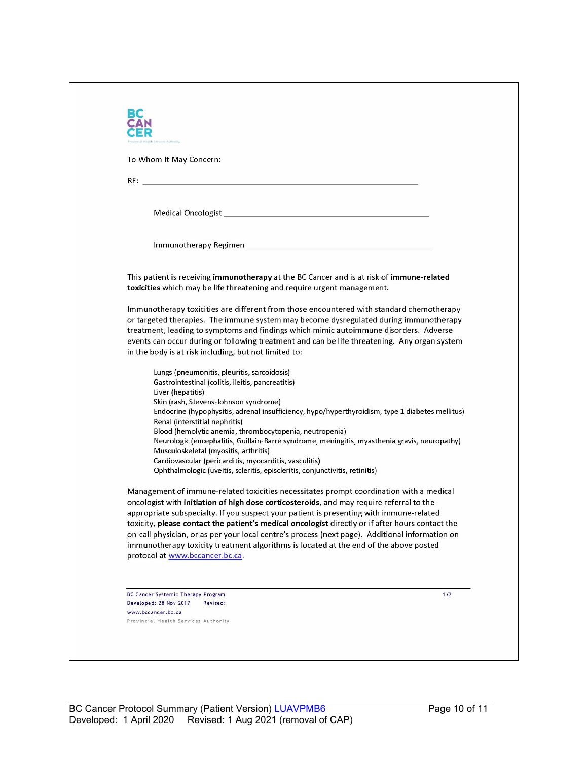| incial Health Services Authority                                                                                                       |                                                                                                                                                                                |
|----------------------------------------------------------------------------------------------------------------------------------------|--------------------------------------------------------------------------------------------------------------------------------------------------------------------------------|
| To Whom It May Concern:                                                                                                                |                                                                                                                                                                                |
|                                                                                                                                        |                                                                                                                                                                                |
|                                                                                                                                        |                                                                                                                                                                                |
|                                                                                                                                        |                                                                                                                                                                                |
|                                                                                                                                        |                                                                                                                                                                                |
|                                                                                                                                        |                                                                                                                                                                                |
|                                                                                                                                        |                                                                                                                                                                                |
|                                                                                                                                        |                                                                                                                                                                                |
| toxicities which may be life threatening and require urgent management.                                                                | This patient is receiving immunotherapy at the BC Cancer and is at risk of immune-related                                                                                      |
|                                                                                                                                        |                                                                                                                                                                                |
|                                                                                                                                        | Immunotherapy toxicities are different from those encountered with standard chemotherapy                                                                                       |
|                                                                                                                                        | or targeted therapies. The immune system may become dysregulated during immunotherapy<br>treatment, leading to symptoms and findings which mimic autoimmune disorders. Adverse |
|                                                                                                                                        | events can occur during or following treatment and can be life threatening. Any organ system                                                                                   |
| in the body is at risk including, but not limited to:                                                                                  |                                                                                                                                                                                |
| Lungs (pneumonitis, pleuritis, sarcoidosis)                                                                                            |                                                                                                                                                                                |
| Gastrointestinal (colitis, ileitis, pancreatitis)                                                                                      |                                                                                                                                                                                |
| Liver (hepatitis)                                                                                                                      |                                                                                                                                                                                |
| Skin (rash, Stevens-Johnson syndrome)                                                                                                  |                                                                                                                                                                                |
| Renal (interstitial nephritis)                                                                                                         | Endocrine (hypophysitis, adrenal insufficiency, hypo/hyperthyroidism, type 1 diabetes mellitus)                                                                                |
| Blood (hemolytic anemia, thrombocytopenia, neutropenia)                                                                                |                                                                                                                                                                                |
|                                                                                                                                        | Neurologic (encephalitis, Guillain-Barré syndrome, meningitis, myasthenia gravis, neuropathy)                                                                                  |
| Musculoskeletal (myositis, arthritis)                                                                                                  |                                                                                                                                                                                |
| Cardiovascular (pericarditis, myocarditis, vasculitis)<br>Ophthalmologic (uveitis, scleritis, episcleritis, conjunctivitis, retinitis) |                                                                                                                                                                                |
|                                                                                                                                        |                                                                                                                                                                                |
|                                                                                                                                        | Management of immune-related toxicities necessitates prompt coordination with a medical                                                                                        |
| oncologist with initiation of high dose corticosteroids, and may require referral to the                                               |                                                                                                                                                                                |
| appropriate subspecialty. If you suspect your patient is presenting with immune-related                                                |                                                                                                                                                                                |
|                                                                                                                                        | toxicity, please contact the patient's medical oncologist directly or if after hours contact the                                                                               |
| immunotherapy toxicity treatment algorithms is located at the end of the above posted                                                  | on-call physician, or as per your local centre's process (next page). Additional information on                                                                                |
| protocol at www.bccancer.bc.ca.                                                                                                        |                                                                                                                                                                                |
|                                                                                                                                        |                                                                                                                                                                                |
|                                                                                                                                        |                                                                                                                                                                                |
| BC Cancer Systemic Therapy Program                                                                                                     | 1/2                                                                                                                                                                            |
| Developed: 28 Nov 2017<br>Revised:                                                                                                     |                                                                                                                                                                                |